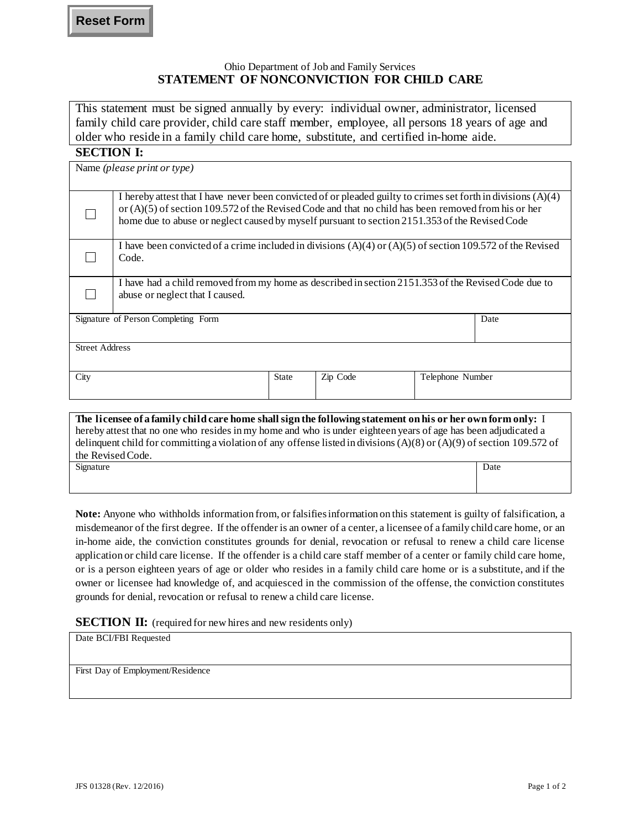#### Ohio Department of Job and Family Services **STATEMENT OF NONCONVICTION FOR CHILD CARE**

This statement must be signed annually by every: individual owner, administrator, licensed family child care provider, child care staff member, employee, all persons 18 years of age and older who reside in a family child care home, substitute, and certified in-home aide.

### **SECTION I:**

| Name (please print or type)         |                                                                                                                                                                                                                                                                                                                            |              |          |                  |  |  |
|-------------------------------------|----------------------------------------------------------------------------------------------------------------------------------------------------------------------------------------------------------------------------------------------------------------------------------------------------------------------------|--------------|----------|------------------|--|--|
|                                     | I hereby attest that I have never been convicted of or pleaded guilty to crimes set forth in divisions $(A)(4)$<br>or $(A)(5)$ of section 109.572 of the Revised Code and that no child has been removed from his or her<br>home due to abuse or neglect caused by myself pursuant to section 2151.353 of the Revised Code |              |          |                  |  |  |
|                                     | I have been convicted of a crime included in divisions $(A)(4)$ or $(A)(5)$ of section 109.572 of the Revised<br>Code.                                                                                                                                                                                                     |              |          |                  |  |  |
|                                     | I have had a child removed from my home as described in section 2151.353 of the Revised Code due to<br>abuse or neglect that I caused.                                                                                                                                                                                     |              |          |                  |  |  |
| Signature of Person Completing Form |                                                                                                                                                                                                                                                                                                                            |              |          | Date             |  |  |
| <b>Street Address</b>               |                                                                                                                                                                                                                                                                                                                            |              |          |                  |  |  |
| City                                |                                                                                                                                                                                                                                                                                                                            | <b>State</b> | Zip Code | Telephone Number |  |  |
|                                     | The licensee of a family child care home shall sign the following statement on his or her own form only: I                                                                                                                                                                                                                 |              |          |                  |  |  |

## **The licensee of a family child care home shall sign the following statement on his or her own form only:** I hereby attest that no one who resides in my home and who is under eighteen years of age has been adjudicated a delinquent child for committing a violation of any offense listed in divisions (A)(8) or (A)(9) of section 109.572 of the Revised Code. Signature Date Date of the Date of the Contract of the Date of the Date of the Date of the Date of the Date of the Date of the Date of the Date of the Date of the Date of the Date of the Date of the Date of the Date of the

**Note:** Anyone who withholds information from, or falsifies information on this statement is guilty of falsification, a misdemeanor of the first degree. If the offender is an owner of a center, a licensee of a family child care home, or an in-home aide, the conviction constitutes grounds for denial, revocation or refusal to renew a child care license application or child care license. If the offender is a child care staff member of a center or family child care home, or is a person eighteen years of age or older who resides in a family child care home or is a substitute, and if the owner or licensee had knowledge of, and acquiesced in the commission of the offense, the conviction constitutes grounds for denial, revocation or refusal to renew a child care license.

# **SECTION II:** (required for new hires and new residents only)

Date BCI/FBI Requested

First Day of Employment/Residence